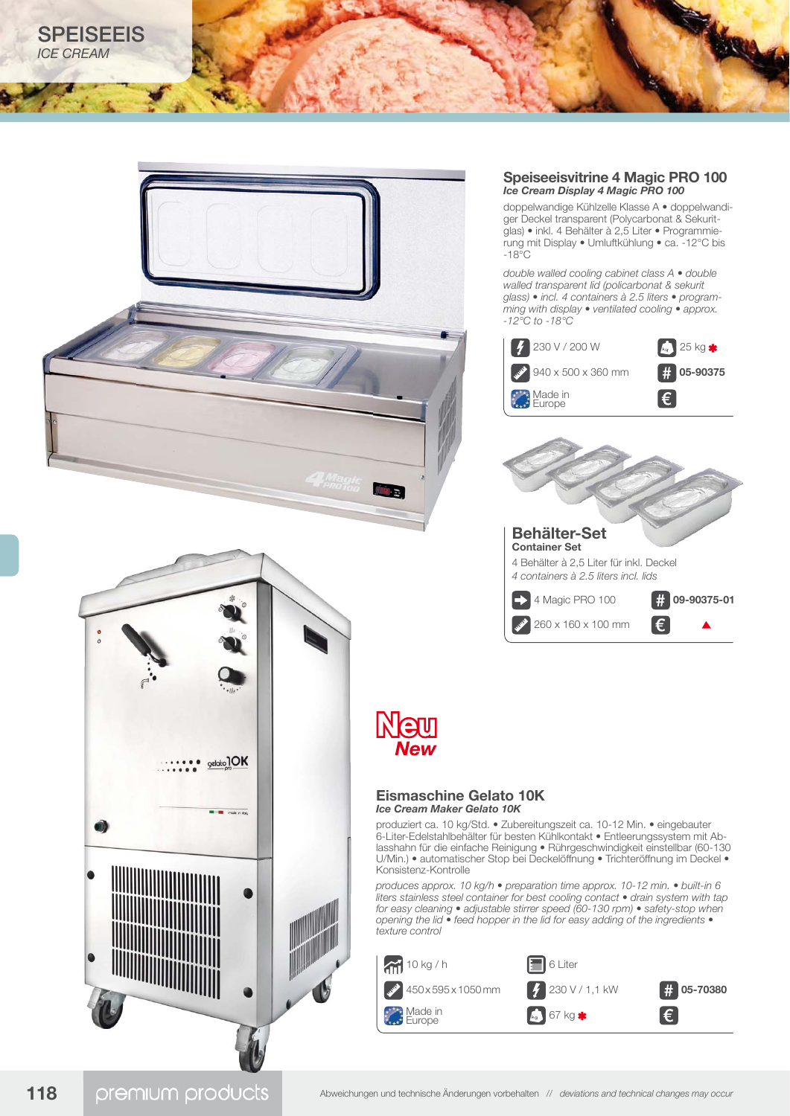



## **Speiseeisvitrine 4 Magic PRO 100** *Ice Cream Display 4 Magic PRO 100*

doppelwandige Kühlzelle Klasse A • doppelwandiger Deckel transparent (Polycarbonat & Sekuritglas) • inkl. 4 Behälter à 2,5 Liter • Programmierung mit Display • Umluftkühlung • ca. -12°C bis -18°C

*double walled cooling cabinet class A • double walled transparent lid (policarbonat & sekurit glass) • incl. 4 containers à 2.5 liters • programming with display • ventilated cooling • approx. -12°C to -18°C*





# **Eismaschine Gelato 10K**

produziert ca. 10 kg/Std. • Zubereitungszeit ca. 10-12 Min. • eingebauter 6-Liter-Edelstahlbehälter für besten Kühlkontakt • Entleerungssystem mit Ablasshahn für die einfache Reinigung • Rührgeschwindigkeit einstellbar (60-130 U/Min.) • automatischer Stop bei Deckelöffnung • Trichteröffnung im Deckel •

*produces approx. 10 kg/h • preparation time approx. 10-12 min. • built-in 6 liters stainless steel container for best cooling contact • drain system with tap for easy cleaning • adjustable stirrer speed (60-130 rpm) • safety-stop when opening the lid • feed hopper in the lid for easy adding of the ingredients •* 

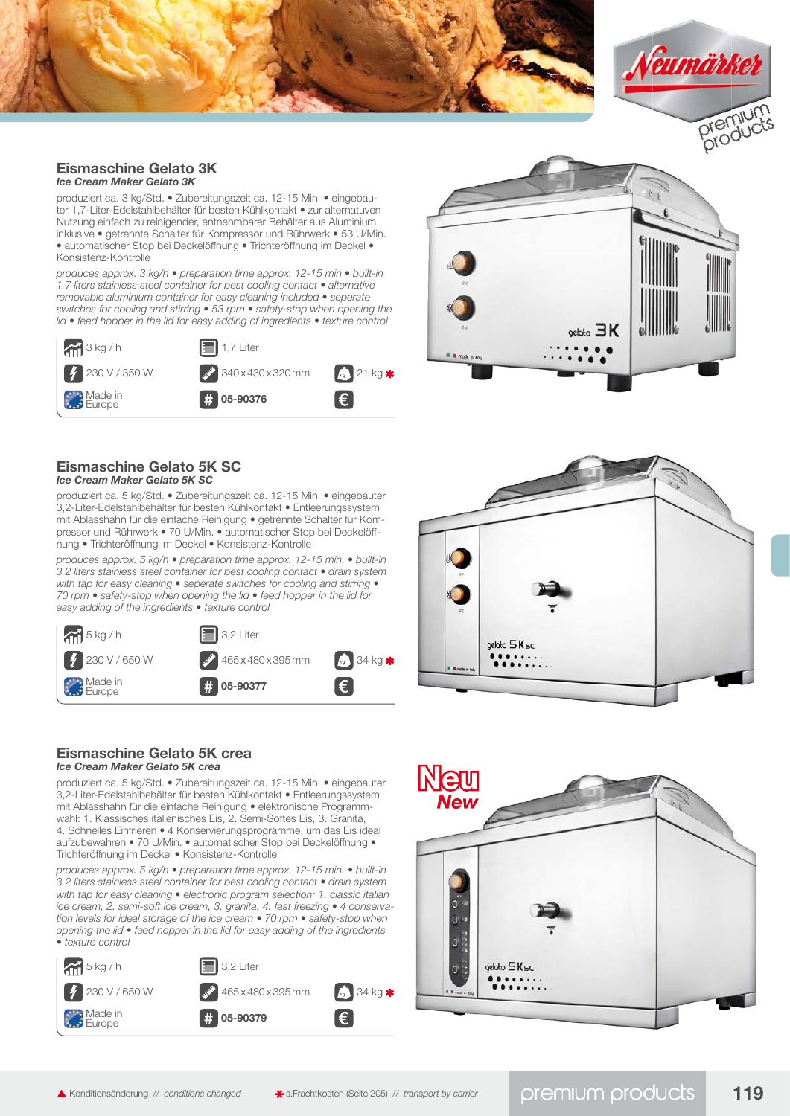



#### **Eismaschine Gelato 3K** *Ice Cream Maker Gelato 3K*

produziert ca. 3 kg/Std. • Zubereitungszeit ca. 12-15 Min. • eingebauter 1,7-Liter-Edelstahlbehälter für besten Kühlkontakt • zur alternatuven Nutzung einfach zu reinigender, entnehmbarer Behälter aus Aluminium inklusive • getrennte Schalter für Kompressor und Rührwerk • 53 U/Min. • automatischer Stop bei Deckelöffnung • Trichteröffnung im Deckel • Konsistenz-Kontrolle

*produces approx. 3 kg/h • preparation time approx. 12-15 min • built-in 1.7 liters stainless steel container for best cooling contact • alternative removable aluminium container for easy cleaning included • seperate switches for cooling and stirring • 53 rpm • safety-stop when opening the lid • feed hopper in the lid for easy adding of ingredients • texture control*





#### **Eismaschine Gelato 5K SC** *Ice Cream Maker Gelato 5K SC*

produziert ca. 5 kg/Std. • Zubereitungszeit ca. 12-15 Min. • eingebauter 3,2-Liter-Edelstahlbehälter für besten Kühlkontakt • Entleerungssystem mit Ablasshahn für die einfache Reinigung • getrennte Schalter für Kompressor und Rührwerk • 70 U/Min. • automatischer Stop bei Deckelöffnung • Trichteröffnung im Deckel • Konsistenz-Kontrolle

*produces approx. 5 kg/h • preparation time approx. 12-15 min. • built-in 3.2 liters stainless steel container for best cooling contact • drain system with tap for easy cleaning • seperate switches for cooling and stirring • 70 rpm • safety-stop when opening the lid • feed hopper in the lid for easy adding of the ingredients • texture control*





# **Eismaschine Gelato 5K crea** *Ice Cream Maker Gelato 5K crea*

produziert ca. 5 kg/Std. • Zubereitungszeit ca. 12-15 Min. • eingebauter 3,2-Liter-Edelstahlbehälter für besten Kühlkontakt • Entleerungssystem mit Ablasshahn für die einfache Reinigung • elektronische Programmwahl: 1. Klassisches italienisches Eis, 2. Semi-Softes Eis, 3. Granita, 4. Schnelles Einfrieren • 4 Konservierungsprogramme, um das Eis ideal aufzubewahren • 70 U/Min. • automatischer Stop bei Deckelöffnung • Trichteröffnung im Deckel • Konsistenz-Kontrolle

*produces approx. 5 kg/h • preparation time approx. 12-15 min. • built-in 3.2 liters stainless steel container for best cooling contact • drain system with tap for easy cleaning • electronic program selection: 1. classic italian ice cream, 2. semi-soft ice cream, 3. granita, 4. fast freezing • 4 conservation levels for ideal storage of the ice cream • 70 rpm • safety-stop when opening the lid • feed hopper in the lid for easy adding of the ingredients • texture control*